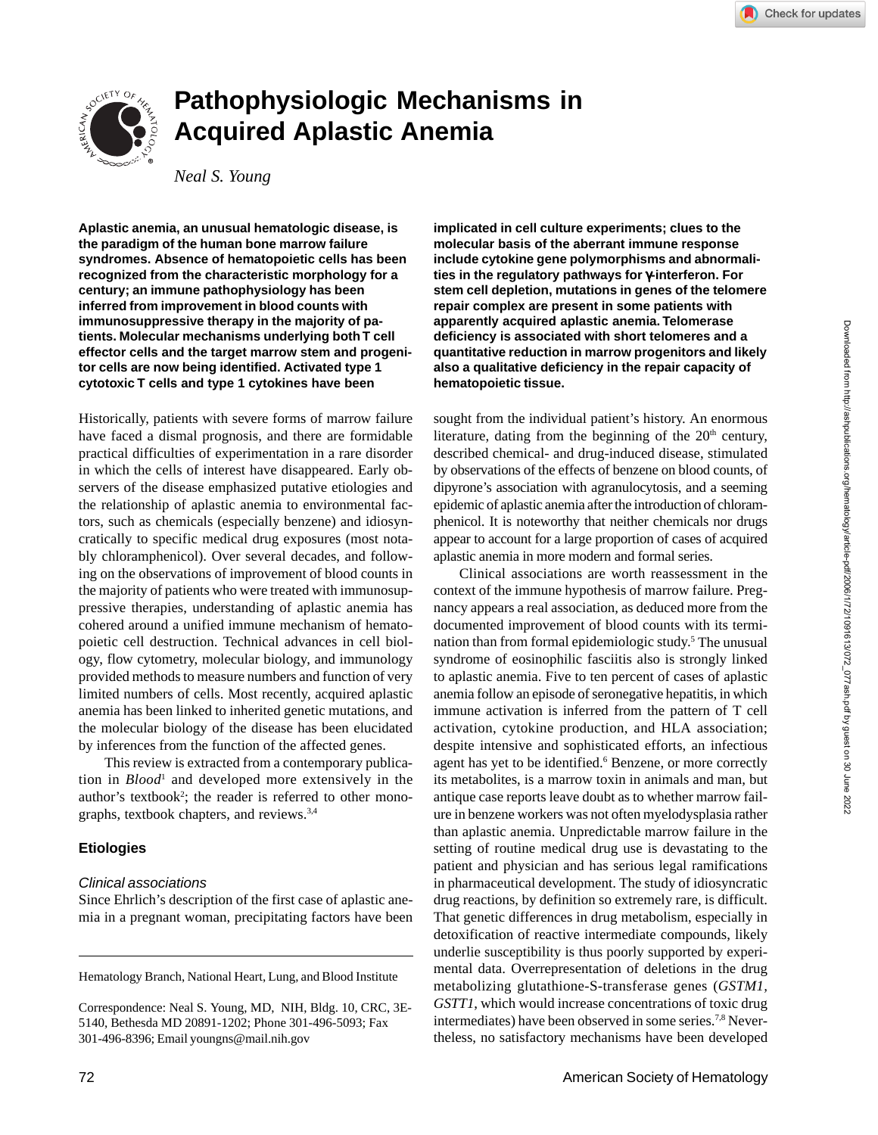

# **Pathophysiologic Mechanisms in Acquired Aplastic Anemia**

*Neal S. Young*

**Aplastic anemia, an unusual hematologic disease, is the paradigm of the human bone marrow failure syndromes. Absence of hematopoietic cells has been recognized from the characteristic morphology for a century; an immune pathophysiology has been inferred from improvement in blood counts with immunosuppressive therapy in the majority of patients. Molecular mechanisms underlying both T cell effector cells and the target marrow stem and progenitor cells are now being identified. Activated type 1 cytotoxic T cells and type 1 cytokines have been**

Historically, patients with severe forms of marrow failure have faced a dismal prognosis, and there are formidable practical difficulties of experimentation in a rare disorder in which the cells of interest have disappeared. Early observers of the disease emphasized putative etiologies and the relationship of aplastic anemia to environmental factors, such as chemicals (especially benzene) and idiosyncratically to specific medical drug exposures (most notably chloramphenicol). Over several decades, and following on the observations of improvement of blood counts in the majority of patients who were treated with immunosuppressive therapies, understanding of aplastic anemia has cohered around a unified immune mechanism of hematopoietic cell destruction. Technical advances in cell biology, flow cytometry, molecular biology, and immunology provided methods to measure numbers and function of very limited numbers of cells. Most recently, acquired aplastic anemia has been linked to inherited genetic mutations, and the molecular biology of the disease has been elucidated by inferences from the function of the affected genes.

This review is extracted from a contemporary publication in *Blood*<sup>1</sup> and developed more extensively in the author's textbook<sup>2</sup>; the reader is referred to other monographs, textbook chapters, and reviews.3,4

# **Etiologies**

# *Clinical associations*

Since Ehrlich's description of the first case of aplastic anemia in a pregnant woman, precipitating factors have been

Hematology Branch, National Heart, Lung, and Blood Institute

Correspondence: Neal S. Young, MD, NIH, Bldg. 10, CRC, 3E-5140, Bethesda MD 20891-1202; Phone 301-496-5093; Fax 301-496-8396; Email youngns@mail.nih.gov

**implicated in cell culture experiments; clues to the molecular basis of the aberrant immune response include cytokine gene polymorphisms and abnormalities in the regulatory pathways for** γ**-interferon. For stem cell depletion, mutations in genes of the telomere repair complex are present in some patients with apparently acquired aplastic anemia. Telomerase deficiency is associated with short telomeres and a quantitative reduction in marrow progenitors and likely also a qualitative deficiency in the repair capacity of hematopoietic tissue.**

sought from the individual patient's history. An enormous literature, dating from the beginning of the  $20<sup>th</sup>$  century, described chemical- and drug-induced disease, stimulated by observations of the effects of benzene on blood counts, of dipyrone's association with agranulocytosis, and a seeming epidemic of aplastic anemia after the introduction of chloramphenicol. It is noteworthy that neither chemicals nor drugs appear to account for a large proportion of cases of acquired aplastic anemia in more modern and formal series.

Clinical associations are worth reassessment in the context of the immune hypothesis of marrow failure. Pregnancy appears a real association, as deduced more from the documented improvement of blood counts with its termination than from formal epidemiologic study.<sup>5</sup> The unusual syndrome of eosinophilic fasciitis also is strongly linked to aplastic anemia. Five to ten percent of cases of aplastic anemia follow an episode of seronegative hepatitis, in which immune activation is inferred from the pattern of T cell activation, cytokine production, and HLA association; despite intensive and sophisticated efforts, an infectious agent has yet to be identified.<sup>6</sup> Benzene, or more correctly its metabolites, is a marrow toxin in animals and man, but antique case reports leave doubt as to whether marrow failure in benzene workers was not often myelodysplasia rather than aplastic anemia. Unpredictable marrow failure in the setting of routine medical drug use is devastating to the patient and physician and has serious legal ramifications in pharmaceutical development. The study of idiosyncratic drug reactions, by definition so extremely rare, is difficult. That genetic differences in drug metabolism, especially in detoxification of reactive intermediate compounds, likely underlie susceptibility is thus poorly supported by experimental data. Overrepresentation of deletions in the drug metabolizing glutathione-S-transferase genes (*GSTM1, GSTT1*, which would increase concentrations of toxic drug intermediates) have been observed in some series.7,8 Nevertheless, no satisfactory mechanisms have been developed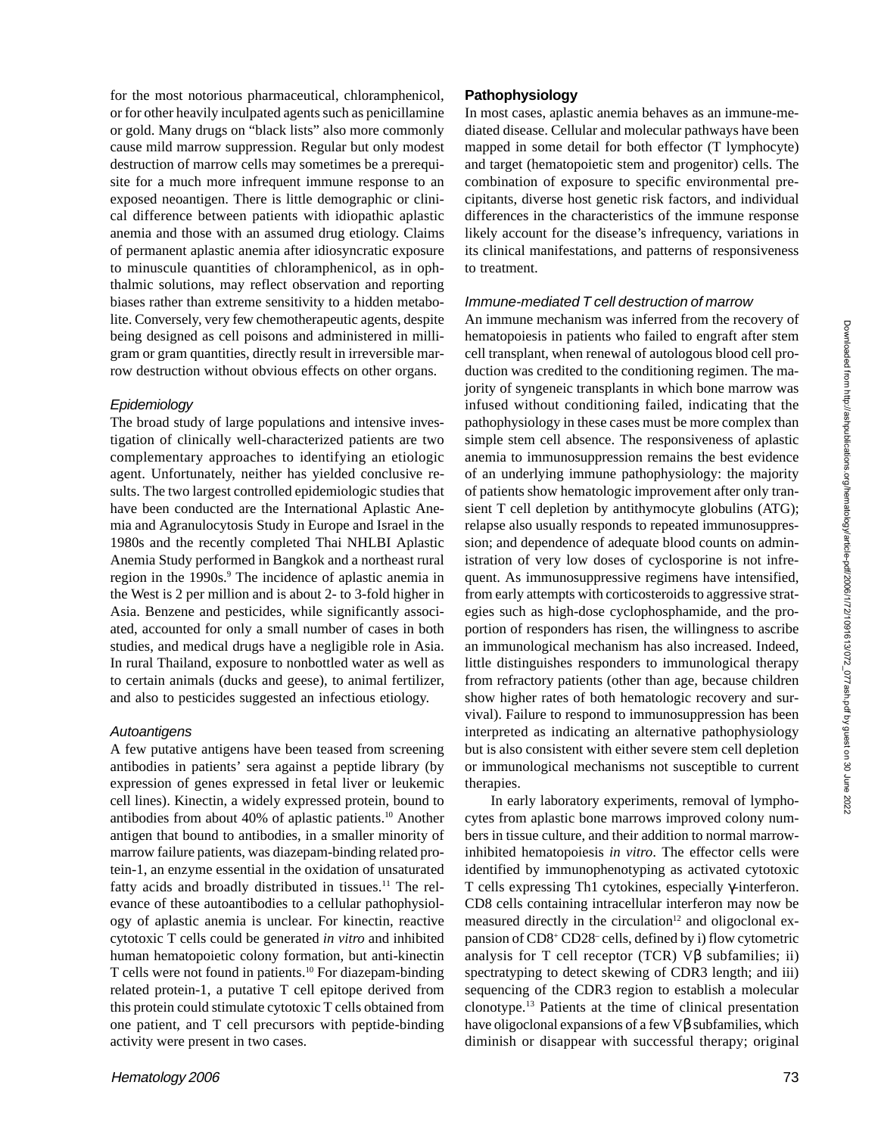for the most notorious pharmaceutical, chloramphenicol, or for other heavily inculpated agents such as penicillamine or gold. Many drugs on "black lists" also more commonly cause mild marrow suppression. Regular but only modest destruction of marrow cells may sometimes be a prerequisite for a much more infrequent immune response to an exposed neoantigen. There is little demographic or clinical difference between patients with idiopathic aplastic anemia and those with an assumed drug etiology. Claims of permanent aplastic anemia after idiosyncratic exposure to minuscule quantities of chloramphenicol, as in ophthalmic solutions, may reflect observation and reporting biases rather than extreme sensitivity to a hidden metabolite. Conversely, very few chemotherapeutic agents, despite being designed as cell poisons and administered in milligram or gram quantities, directly result in irreversible marrow destruction without obvious effects on other organs.

#### *Epidemiology*

The broad study of large populations and intensive investigation of clinically well-characterized patients are two complementary approaches to identifying an etiologic agent. Unfortunately, neither has yielded conclusive results. The two largest controlled epidemiologic studies that have been conducted are the International Aplastic Anemia and Agranulocytosis Study in Europe and Israel in the 1980s and the recently completed Thai NHLBI Aplastic Anemia Study performed in Bangkok and a northeast rural region in the 1990s.<sup>9</sup> The incidence of aplastic anemia in the West is 2 per million and is about 2- to 3-fold higher in Asia. Benzene and pesticides, while significantly associated, accounted for only a small number of cases in both studies, and medical drugs have a negligible role in Asia. In rural Thailand, exposure to nonbottled water as well as to certain animals (ducks and geese), to animal fertilizer, and also to pesticides suggested an infectious etiology.

#### *Autoantigens*

A few putative antigens have been teased from screening antibodies in patients' sera against a peptide library (by expression of genes expressed in fetal liver or leukemic cell lines). Kinectin, a widely expressed protein, bound to antibodies from about 40% of aplastic patients.<sup>10</sup> Another antigen that bound to antibodies, in a smaller minority of marrow failure patients, was diazepam-binding related protein-1, an enzyme essential in the oxidation of unsaturated fatty acids and broadly distributed in tissues.<sup>11</sup> The relevance of these autoantibodies to a cellular pathophysiology of aplastic anemia is unclear. For kinectin, reactive cytotoxic T cells could be generated *in vitro* and inhibited human hematopoietic colony formation, but anti-kinectin T cells were not found in patients.10 For diazepam-binding related protein-1, a putative T cell epitope derived from this protein could stimulate cytotoxic T cells obtained from one patient, and T cell precursors with peptide-binding activity were present in two cases.

#### **Pathophysiology**

In most cases, aplastic anemia behaves as an immune-mediated disease. Cellular and molecular pathways have been mapped in some detail for both effector (T lymphocyte) and target (hematopoietic stem and progenitor) cells. The combination of exposure to specific environmental precipitants, diverse host genetic risk factors, and individual differences in the characteristics of the immune response likely account for the disease's infrequency, variations in its clinical manifestations, and patterns of responsiveness to treatment.

#### *Immune-mediated T cell destruction of marrow*

An immune mechanism was inferred from the recovery of hematopoiesis in patients who failed to engraft after stem cell transplant, when renewal of autologous blood cell production was credited to the conditioning regimen. The majority of syngeneic transplants in which bone marrow was infused without conditioning failed, indicating that the pathophysiology in these cases must be more complex than simple stem cell absence. The responsiveness of aplastic anemia to immunosuppression remains the best evidence of an underlying immune pathophysiology: the majority of patients show hematologic improvement after only transient T cell depletion by antithymocyte globulins (ATG); relapse also usually responds to repeated immunosuppression; and dependence of adequate blood counts on administration of very low doses of cyclosporine is not infrequent. As immunosuppressive regimens have intensified, from early attempts with corticosteroids to aggressive strategies such as high-dose cyclophosphamide, and the proportion of responders has risen, the willingness to ascribe an immunological mechanism has also increased. Indeed, little distinguishes responders to immunological therapy from refractory patients (other than age, because children show higher rates of both hematologic recovery and survival). Failure to respond to immunosuppression has been interpreted as indicating an alternative pathophysiology but is also consistent with either severe stem cell depletion or immunological mechanisms not susceptible to current therapies.

In early laboratory experiments, removal of lymphocytes from aplastic bone marrows improved colony numbers in tissue culture, and their addition to normal marrowinhibited hematopoiesis *in vitro*. The effector cells were identified by immunophenotyping as activated cytotoxic T cells expressing Th1 cytokines, especially γ-interferon. CD8 cells containing intracellular interferon may now be measured directly in the circulation $12$  and oligoclonal expansion of CD8+ CD28<sup>-</sup> cells, defined by i) flow cytometric analysis for T cell receptor (TCR)  $V\beta$  subfamilies; ii) spectratyping to detect skewing of CDR3 length; and iii) sequencing of the CDR3 region to establish a molecular clonotype.13 Patients at the time of clinical presentation have oligoclonal expansions of a few Vβ subfamilies, which diminish or disappear with successful therapy; original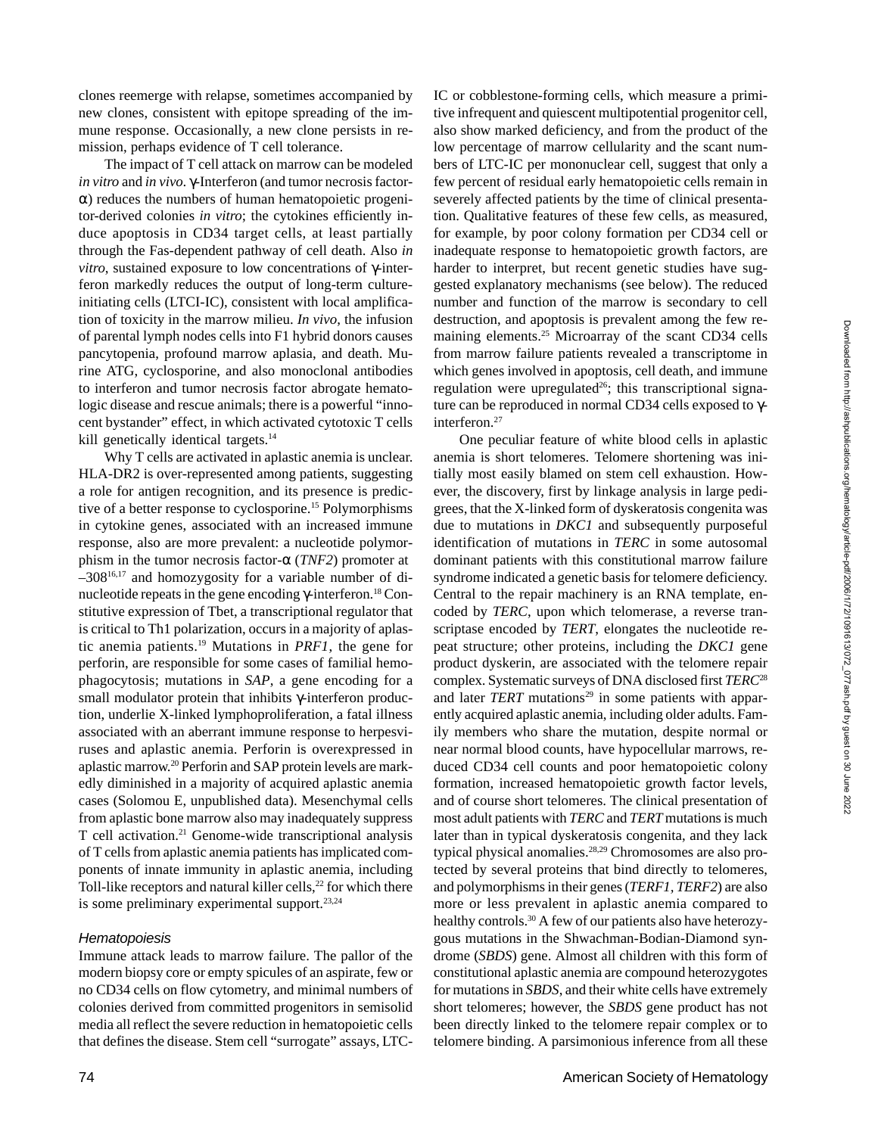clones reemerge with relapse, sometimes accompanied by new clones, consistent with epitope spreading of the immune response. Occasionally, a new clone persists in remission, perhaps evidence of T cell tolerance.

The impact of T cell attack on marrow can be modeled *in vitro* and *in vivo*. γ-Interferon (and tumor necrosis factor- $\alpha$ ) reduces the numbers of human hematopoietic progenitor-derived colonies *in vitro*; the cytokines efficiently induce apoptosis in CD34 target cells, at least partially through the Fas-dependent pathway of cell death. Also *in vitro*, sustained exposure to low concentrations of γ-interferon markedly reduces the output of long-term cultureinitiating cells (LTCI-IC), consistent with local amplification of toxicity in the marrow milieu. *In vivo*, the infusion of parental lymph nodes cells into F1 hybrid donors causes pancytopenia, profound marrow aplasia, and death. Murine ATG, cyclosporine, and also monoclonal antibodies to interferon and tumor necrosis factor abrogate hematologic disease and rescue animals; there is a powerful "innocent bystander" effect, in which activated cytotoxic T cells kill genetically identical targets.<sup>14</sup>

Why T cells are activated in aplastic anemia is unclear. HLA-DR2 is over-represented among patients, suggesting a role for antigen recognition, and its presence is predictive of a better response to cyclosporine.15 Polymorphisms in cytokine genes, associated with an increased immune response, also are more prevalent: a nucleotide polymorphism in the tumor necrosis factor-α (*TNF2*) promoter at  $-308^{16,17}$  and homozygosity for a variable number of dinucleotide repeats in the gene encoding γ-interferon.18 Constitutive expression of Tbet, a transcriptional regulator that is critical to Th1 polarization, occurs in a majority of aplastic anemia patients.19 Mutations in *PRF1*, the gene for perforin, are responsible for some cases of familial hemophagocytosis; mutations in *SAP*, a gene encoding for a small modulator protein that inhibits γ-interferon production, underlie X-linked lymphoproliferation, a fatal illness associated with an aberrant immune response to herpesviruses and aplastic anemia. Perforin is overexpressed in aplastic marrow.20 Perforin and SAP protein levels are markedly diminished in a majority of acquired aplastic anemia cases (Solomou E, unpublished data). Mesenchymal cells from aplastic bone marrow also may inadequately suppress T cell activation.21 Genome-wide transcriptional analysis of T cells from aplastic anemia patients has implicated components of innate immunity in aplastic anemia, including Toll-like receptors and natural killer cells, $^{22}$  for which there is some preliminary experimental support. $23,24$ 

### *Hematopoiesis*

Immune attack leads to marrow failure. The pallor of the modern biopsy core or empty spicules of an aspirate, few or no CD34 cells on flow cytometry, and minimal numbers of colonies derived from committed progenitors in semisolid media all reflect the severe reduction in hematopoietic cells that defines the disease. Stem cell "surrogate" assays, LTC-

IC or cobblestone-forming cells, which measure a primitive infrequent and quiescent multipotential progenitor cell, also show marked deficiency, and from the product of the low percentage of marrow cellularity and the scant numbers of LTC-IC per mononuclear cell, suggest that only a few percent of residual early hematopoietic cells remain in severely affected patients by the time of clinical presentation. Qualitative features of these few cells, as measured, for example, by poor colony formation per CD34 cell or inadequate response to hematopoietic growth factors, are harder to interpret, but recent genetic studies have suggested explanatory mechanisms (see below). The reduced number and function of the marrow is secondary to cell destruction, and apoptosis is prevalent among the few remaining elements.<sup>25</sup> Microarray of the scant CD34 cells from marrow failure patients revealed a transcriptome in which genes involved in apoptosis, cell death, and immune regulation were upregulated<sup>26</sup>; this transcriptional signature can be reproduced in normal CD34 cells exposed to γinterferon.<sup>27</sup>

One peculiar feature of white blood cells in aplastic anemia is short telomeres. Telomere shortening was initially most easily blamed on stem cell exhaustion. However, the discovery, first by linkage analysis in large pedigrees, that the X-linked form of dyskeratosis congenita was due to mutations in *DKC1* and subsequently purposeful identification of mutations in *TERC* in some autosomal dominant patients with this constitutional marrow failure syndrome indicated a genetic basis for telomere deficiency. Central to the repair machinery is an RNA template, encoded by *TERC*, upon which telomerase, a reverse transcriptase encoded by *TERT*, elongates the nucleotide repeat structure; other proteins, including the *DKC1* gene product dyskerin, are associated with the telomere repair complex. Systematic surveys of DNA disclosed first *TERC*<sup>28</sup> and later *TERT* mutations<sup>29</sup> in some patients with apparently acquired aplastic anemia, including older adults. Family members who share the mutation, despite normal or near normal blood counts, have hypocellular marrows, reduced CD34 cell counts and poor hematopoietic colony formation, increased hematopoietic growth factor levels, and of course short telomeres. The clinical presentation of most adult patients with *TERC* and *TERT* mutations is much later than in typical dyskeratosis congenita, and they lack typical physical anomalies.28,29 Chromosomes are also protected by several proteins that bind directly to telomeres, and polymorphisms in their genes (*TERF1, TERF2*) are also more or less prevalent in aplastic anemia compared to healthy controls.<sup>30</sup> A few of our patients also have heterozygous mutations in the Shwachman-Bodian-Diamond syndrome (*SBDS*) gene. Almost all children with this form of constitutional aplastic anemia are compound heterozygotes for mutations in *SBDS*, and their white cells have extremely short telomeres; however, the *SBDS* gene product has not been directly linked to the telomere repair complex or to telomere binding. A parsimonious inference from all these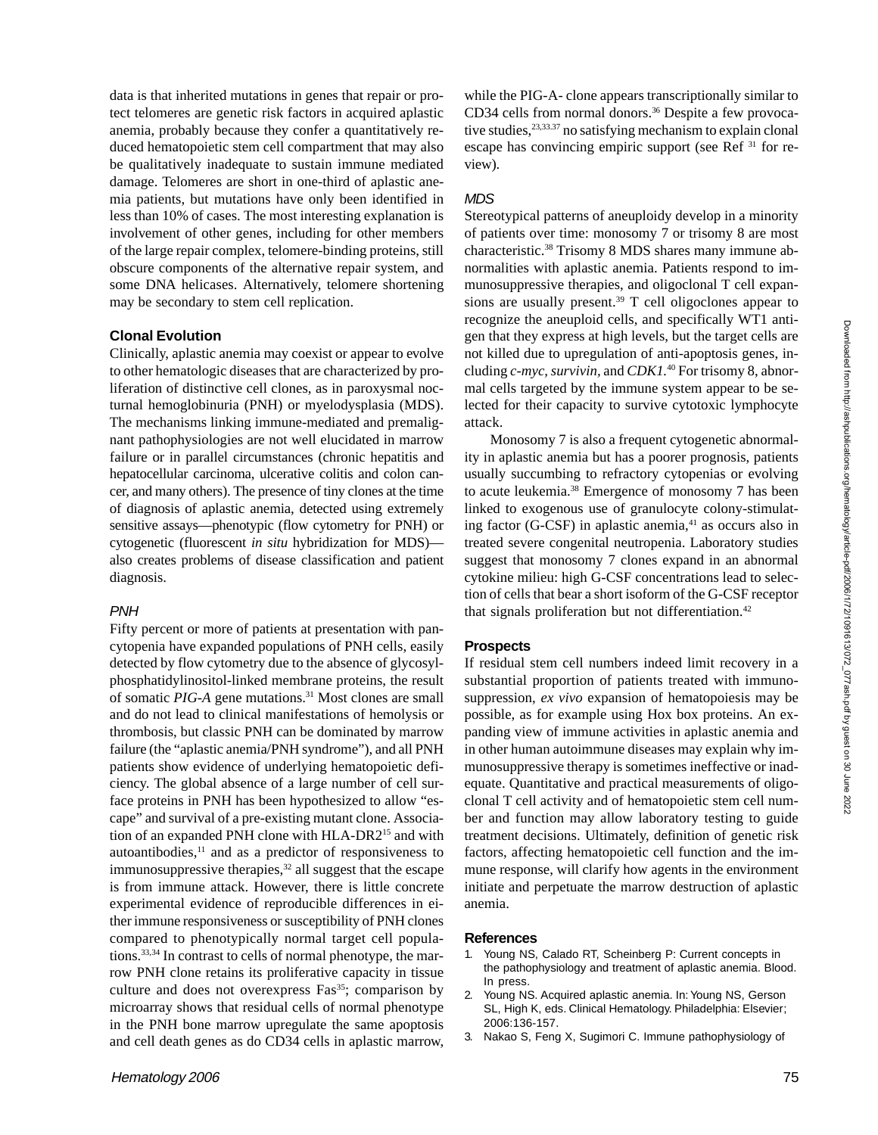data is that inherited mutations in genes that repair or protect telomeres are genetic risk factors in acquired aplastic anemia, probably because they confer a quantitatively reduced hematopoietic stem cell compartment that may also be qualitatively inadequate to sustain immune mediated damage. Telomeres are short in one-third of aplastic anemia patients, but mutations have only been identified in less than 10% of cases. The most interesting explanation is involvement of other genes, including for other members of the large repair complex, telomere-binding proteins, still obscure components of the alternative repair system, and some DNA helicases. Alternatively, telomere shortening may be secondary to stem cell replication.

## **Clonal Evolution**

Clinically, aplastic anemia may coexist or appear to evolve to other hematologic diseases that are characterized by proliferation of distinctive cell clones, as in paroxysmal nocturnal hemoglobinuria (PNH) or myelodysplasia (MDS). The mechanisms linking immune-mediated and premalignant pathophysiologies are not well elucidated in marrow failure or in parallel circumstances (chronic hepatitis and hepatocellular carcinoma, ulcerative colitis and colon cancer, and many others). The presence of tiny clones at the time of diagnosis of aplastic anemia, detected using extremely sensitive assays—phenotypic (flow cytometry for PNH) or cytogenetic (fluorescent *in situ* hybridization for MDS) also creates problems of disease classification and patient diagnosis.

## *PNH*

Fifty percent or more of patients at presentation with pancytopenia have expanded populations of PNH cells, easily detected by flow cytometry due to the absence of glycosylphosphatidylinositol-linked membrane proteins, the result of somatic *PIG-A* gene mutations.31 Most clones are small and do not lead to clinical manifestations of hemolysis or thrombosis, but classic PNH can be dominated by marrow failure (the "aplastic anemia/PNH syndrome"), and all PNH patients show evidence of underlying hematopoietic deficiency. The global absence of a large number of cell surface proteins in PNH has been hypothesized to allow "escape" and survival of a pre-existing mutant clone. Association of an expanded PNH clone with HLA-DR215 and with autoantibodies, $\frac{11}{11}$  and as a predictor of responsiveness to immunosuppressive therapies, $32$  all suggest that the escape is from immune attack. However, there is little concrete experimental evidence of reproducible differences in either immune responsiveness or susceptibility of PNH clones compared to phenotypically normal target cell populations.33,34 In contrast to cells of normal phenotype, the marrow PNH clone retains its proliferative capacity in tissue culture and does not overexpress  $Fas<sup>35</sup>$ ; comparison by microarray shows that residual cells of normal phenotype in the PNH bone marrow upregulate the same apoptosis and cell death genes as do CD34 cells in aplastic marrow,

while the PIG-A- clone appears transcriptionally similar to CD34 cells from normal donors.<sup>36</sup> Despite a few provocative studies, <sup>23,33,37</sup> no satisfying mechanism to explain clonal escape has convincing empiric support (see Ref<sup>31</sup> for review).

## *MDS*

Stereotypical patterns of aneuploidy develop in a minority of patients over time: monosomy 7 or trisomy 8 are most characteristic.38 Trisomy 8 MDS shares many immune abnormalities with aplastic anemia. Patients respond to immunosuppressive therapies, and oligoclonal T cell expansions are usually present.<sup>39</sup> T cell oligoclones appear to recognize the aneuploid cells, and specifically WT1 antigen that they express at high levels, but the target cells are not killed due to upregulation of anti-apoptosis genes, including *c-myc, survivin,* and *CDK1.*40 For trisomy 8, abnormal cells targeted by the immune system appear to be selected for their capacity to survive cytotoxic lymphocyte attack.

Monosomy 7 is also a frequent cytogenetic abnormality in aplastic anemia but has a poorer prognosis, patients usually succumbing to refractory cytopenias or evolving to acute leukemia.38 Emergence of monosomy 7 has been linked to exogenous use of granulocyte colony-stimulating factor  $(G-CSF)$  in aplastic anemia,<sup>41</sup> as occurs also in treated severe congenital neutropenia. Laboratory studies suggest that monosomy 7 clones expand in an abnormal cytokine milieu: high G-CSF concentrations lead to selection of cells that bear a short isoform of the G-CSF receptor that signals proliferation but not differentiation.<sup>42</sup>

# **Prospects**

If residual stem cell numbers indeed limit recovery in a substantial proportion of patients treated with immunosuppression, *ex vivo* expansion of hematopoiesis may be possible, as for example using Hox box proteins. An expanding view of immune activities in aplastic anemia and in other human autoimmune diseases may explain why immunosuppressive therapy is sometimes ineffective or inadequate. Quantitative and practical measurements of oligoclonal T cell activity and of hematopoietic stem cell number and function may allow laboratory testing to guide treatment decisions. Ultimately, definition of genetic risk factors, affecting hematopoietic cell function and the immune response, will clarify how agents in the environment initiate and perpetuate the marrow destruction of aplastic anemia.

#### **References**

- 1. Young NS, Calado RT, Scheinberg P: Current concepts in the pathophysiology and treatment of aplastic anemia. Blood. In press.
- 2. Young NS. Acquired aplastic anemia. In: Young NS, Gerson SL, High K, eds. Clinical Hematology. Philadelphia: Elsevier; 2006:136-157.
- 3. Nakao S, Feng X, Sugimori C. Immune pathophysiology of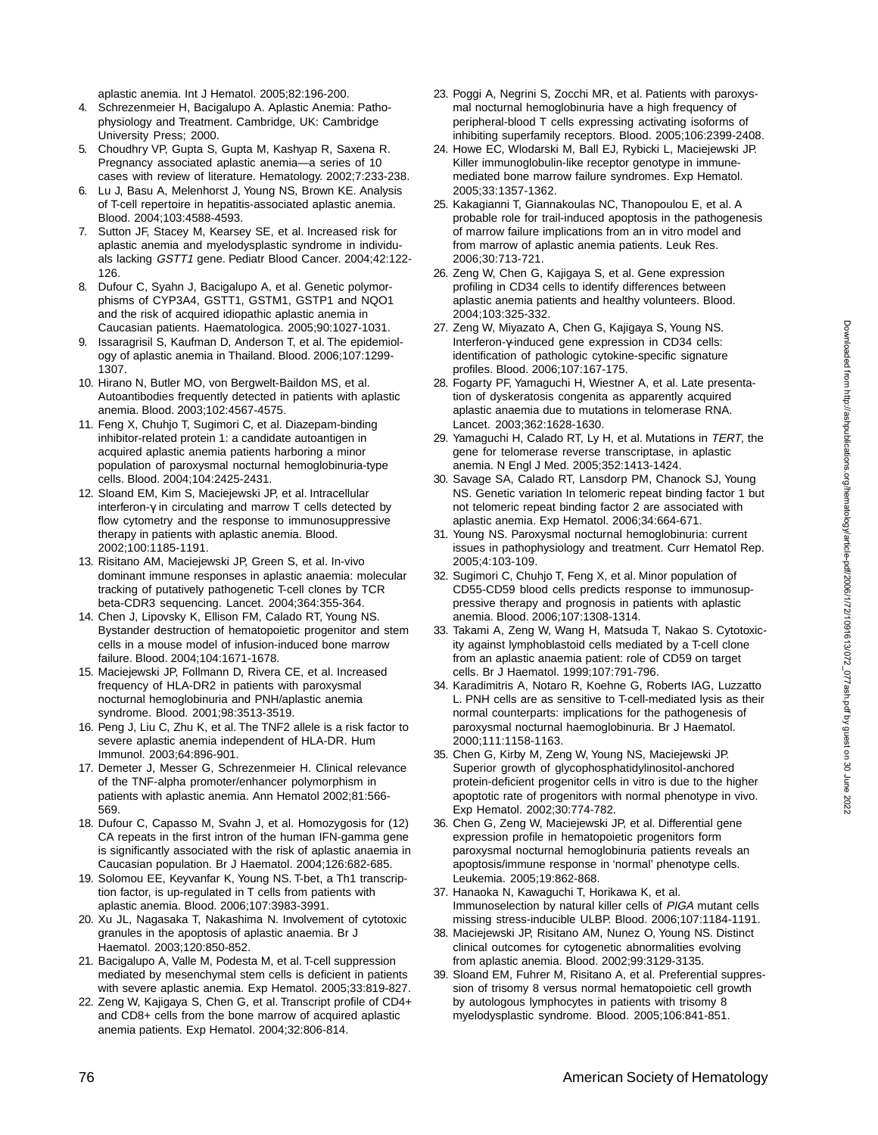aplastic anemia. Int J Hematol. 2005;82:196-200.

- 4. Schrezenmeier H, Bacigalupo A. Aplastic Anemia: Pathophysiology and Treatment. Cambridge, UK: Cambridge University Press; 2000.
- 5. Choudhry VP, Gupta S, Gupta M, Kashyap R, Saxena R. Pregnancy associated aplastic anemia—a series of 10 cases with review of literature. Hematology. 2002;7:233-238.
- 6. Lu J, Basu A, Melenhorst J, Young NS, Brown KE. Analysis of T-cell repertoire in hepatitis-associated aplastic anemia. Blood. 2004;103:4588-4593.
- 7. Sutton JF, Stacey M, Kearsey SE, et al. Increased risk for aplastic anemia and myelodysplastic syndrome in individuals lacking GSTT1 gene. Pediatr Blood Cancer. 2004;42:122- 126.
- 8. Dufour C, Syahn J, Bacigalupo A, et al. Genetic polymorphisms of CYP3A4, GSTT1, GSTM1, GSTP1 and NQO1 and the risk of acquired idiopathic aplastic anemia in Caucasian patients. Haematologica. 2005;90:1027-1031.
- 9. Issaragrisil S, Kaufman D, Anderson T, et al. The epidemiology of aplastic anemia in Thailand. Blood. 2006;107:1299- 1307.
- 10. Hirano N, Butler MO, von Bergwelt-Baildon MS, et al. Autoantibodies frequently detected in patients with aplastic anemia. Blood. 2003;102:4567-4575.
- 11. Feng X, Chuhjo T, Sugimori C, et al. Diazepam-binding inhibitor-related protein 1: a candidate autoantigen in acquired aplastic anemia patients harboring a minor population of paroxysmal nocturnal hemoglobinuria-type cells. Blood. 2004;104:2425-2431.
- 12. Sloand EM, Kim S, Maciejewski JP, et al. Intracellular interferon-γ in circulating and marrow T cells detected by flow cytometry and the response to immunosuppressive therapy in patients with aplastic anemia. Blood. 2002;100:1185-1191.
- 13. Risitano AM, Maciejewski JP, Green S, et al. In-vivo dominant immune responses in aplastic anaemia: molecular tracking of putatively pathogenetic T-cell clones by TCR beta-CDR3 sequencing. Lancet. 2004;364:355-364.
- 14. Chen J, Lipovsky K, Ellison FM, Calado RT, Young NS. Bystander destruction of hematopoietic progenitor and stem cells in a mouse model of infusion-induced bone marrow failure. Blood. 2004;104:1671-1678.
- 15. Maciejewski JP, Follmann D, Rivera CE, et al. Increased frequency of HLA-DR2 in patients with paroxysmal nocturnal hemoglobinuria and PNH/aplastic anemia syndrome. Blood. 2001;98:3513-3519.
- 16. Peng J, Liu C, Zhu K, et al. The TNF2 allele is a risk factor to severe aplastic anemia independent of HLA-DR. Hum Immunol. 2003;64:896-901.
- 17. Demeter J, Messer G, Schrezenmeier H. Clinical relevance of the TNF-alpha promoter/enhancer polymorphism in patients with aplastic anemia. Ann Hematol 2002;81:566- 569.
- 18. Dufour C, Capasso M, Svahn J, et al. Homozygosis for (12) CA repeats in the first intron of the human IFN-gamma gene is significantly associated with the risk of aplastic anaemia in Caucasian population. Br J Haematol. 2004;126:682-685.
- 19. Solomou EE, Keyvanfar K, Young NS. T-bet, a Th1 transcription factor, is up-regulated in T cells from patients with aplastic anemia. Blood. 2006;107:3983-3991.
- 20. Xu JL, Nagasaka T, Nakashima N. Involvement of cytotoxic granules in the apoptosis of aplastic anaemia. Br J Haematol. 2003;120:850-852.
- 21. Bacigalupo A, Valle M, Podesta M, et al. T-cell suppression mediated by mesenchymal stem cells is deficient in patients with severe aplastic anemia. Exp Hematol. 2005;33:819-827.
- 22. Zeng W, Kajigaya S, Chen G, et al. Transcript profile of CD4+ and CD8+ cells from the bone marrow of acquired aplastic anemia patients. Exp Hematol. 2004;32:806-814.
- 23. Poggi A, Negrini S, Zocchi MR, et al. Patients with paroxysmal nocturnal hemoglobinuria have a high frequency of peripheral-blood T cells expressing activating isoforms of inhibiting superfamily receptors. Blood. 2005;106:2399-2408.
- 24. Howe EC, Wlodarski M, Ball EJ, Rybicki L, Maciejewski JP. Killer immunoglobulin-like receptor genotype in immunemediated bone marrow failure syndromes. Exp Hematol. 2005;33:1357-1362.
- 25. Kakagianni T, Giannakoulas NC, Thanopoulou E, et al. A probable role for trail-induced apoptosis in the pathogenesis of marrow failure implications from an in vitro model and from marrow of aplastic anemia patients. Leuk Res. 2006;30:713-721.
- 26. Zeng W, Chen G, Kajigaya S, et al. Gene expression profiling in CD34 cells to identify differences between aplastic anemia patients and healthy volunteers. Blood. 2004;103:325-332.
- 27. Zeng W, Miyazato A, Chen G, Kajigaya S, Young NS. Interferon-γ-induced gene expression in CD34 cells: identification of pathologic cytokine-specific signature profiles. Blood. 2006;107:167-175.
- 28. Fogarty PF, Yamaguchi H, Wiestner A, et al. Late presentation of dyskeratosis congenita as apparently acquired aplastic anaemia due to mutations in telomerase RNA. Lancet. 2003;362:1628-1630.
- 29. Yamaguchi H, Calado RT, Ly H, et al. Mutations in TERT, the gene for telomerase reverse transcriptase, in aplastic anemia. N Engl J Med. 2005;352:1413-1424.
- 30. Savage SA, Calado RT, Lansdorp PM, Chanock SJ, Young NS. Genetic variation In telomeric repeat binding factor 1 but not telomeric repeat binding factor 2 are associated with aplastic anemia. Exp Hematol. 2006;34:664-671.
- 31. Young NS. Paroxysmal nocturnal hemoglobinuria: current issues in pathophysiology and treatment. Curr Hematol Rep. 2005;4:103-109.
- 32. Sugimori C, Chuhjo T, Feng X, et al. Minor population of CD55-CD59 blood cells predicts response to immunosuppressive therapy and prognosis in patients with aplastic anemia. Blood. 2006;107:1308-1314.
- 33. Takami A, Zeng W, Wang H, Matsuda T, Nakao S. Cytotoxicity against lymphoblastoid cells mediated by a T-cell clone from an aplastic anaemia patient: role of CD59 on target cells. Br J Haematol. 1999;107:791-796.
- 34. Karadimitris A, Notaro R, Koehne G, Roberts IAG, Luzzatto L. PNH cells are as sensitive to T-cell-mediated lysis as their normal counterparts: implications for the pathogenesis of paroxysmal nocturnal haemoglobinuria. Br J Haematol. 2000;111:1158-1163.
- 35. Chen G, Kirby M, Zeng W, Young NS, Maciejewski JP. Superior growth of glycophosphatidylinositol-anchored protein-deficient progenitor cells in vitro is due to the higher apoptotic rate of progenitors with normal phenotype in vivo. Exp Hematol. 2002;30:774-782.
- 36. Chen G, Zeng W, Maciejewski JP, et al. Differential gene expression profile in hematopoietic progenitors form paroxysmal nocturnal hemoglobinuria patients reveals an apoptosis/immune response in 'normal' phenotype cells. Leukemia. 2005;19:862-868.
- 37. Hanaoka N, Kawaguchi T, Horikawa K, et al. Immunoselection by natural killer cells of PIGA mutant cells missing stress-inducible ULBP. Blood. 2006;107:1184-1191.
- 38. Maciejewski JP, Risitano AM, Nunez O, Young NS. Distinct clinical outcomes for cytogenetic abnormalities evolving from aplastic anemia. Blood. 2002;99:3129-3135.
- 39. Sloand EM, Fuhrer M, Risitano A, et al. Preferential suppression of trisomy 8 versus normal hematopoietic cell growth by autologous lymphocytes in patients with trisomy 8 myelodysplastic syndrome. Blood. 2005;106:841-851.